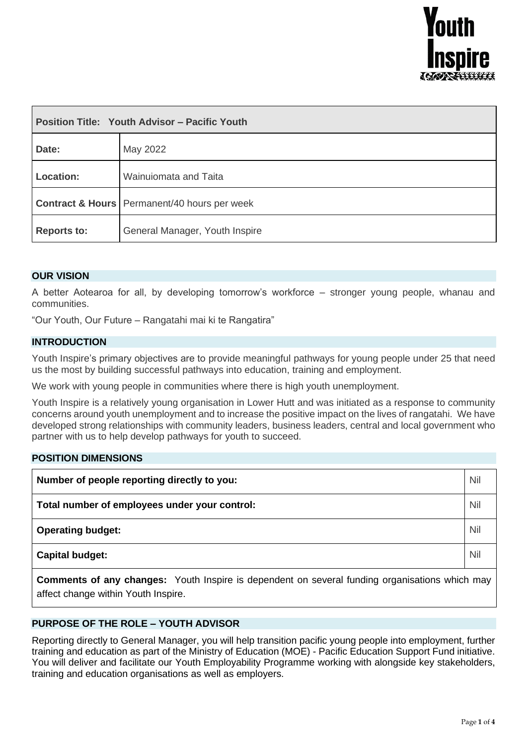

| <b>Position Title: Youth Advisor - Pacific Youth</b> |                                                           |  |
|------------------------------------------------------|-----------------------------------------------------------|--|
| Date:                                                | May 2022                                                  |  |
| Location:                                            | Wainuiomata and Taita                                     |  |
|                                                      | <b>Contract &amp; Hours</b>   Permanent/40 hours per week |  |
| <b>Reports to:</b>                                   | General Manager, Youth Inspire                            |  |

## **OUR VISION**

A better Aotearoa for all, by developing tomorrow's workforce – stronger young people, whanau and communities.

"Our Youth, Our Future – Rangatahi mai ki te Rangatira"

## **INTRODUCTION**

Youth Inspire's primary objectives are to provide meaningful pathways for young people under 25 that need us the most by building successful pathways into education, training and employment.

We work with young people in communities where there is high youth unemployment.

Youth Inspire is a relatively young organisation in Lower Hutt and was initiated as a response to community concerns around youth unemployment and to increase the positive impact on the lives of rangatahi. We have developed strong relationships with community leaders, business leaders, central and local government who partner with us to help develop pathways for youth to succeed.

#### **POSITION DIMENSIONS**

| Number of people reporting directly to you:   |  |
|-----------------------------------------------|--|
| Total number of employees under your control: |  |
| <b>Operating budget:</b>                      |  |
| <b>Capital budget:</b>                        |  |

**Comments of any changes:** Youth Inspire is dependent on several funding organisations which may affect change within Youth Inspire.

## **PURPOSE OF THE ROLE – YOUTH ADVISOR**

Reporting directly to General Manager, you will help transition pacific young people into employment, further training and education as part of the Ministry of Education (MOE) - Pacific Education Support Fund initiative. You will deliver and facilitate our Youth Employability Programme working with alongside key stakeholders, training and education organisations as well as employers.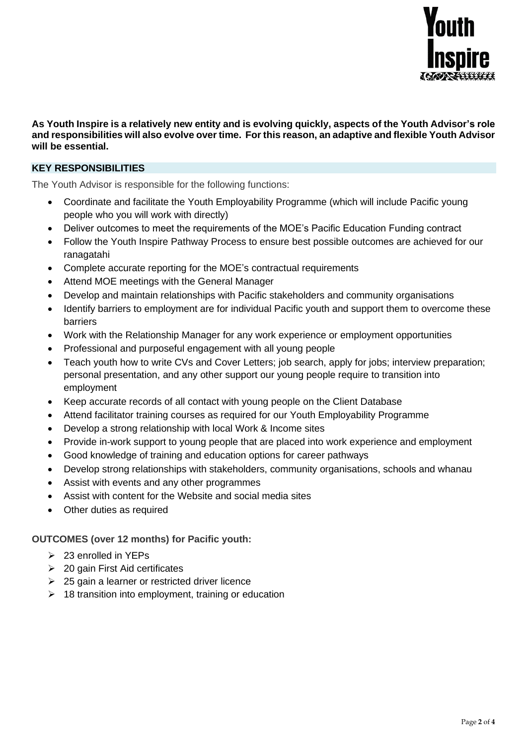

### **As Youth Inspire is a relatively new entity and is evolving quickly, aspects of the Youth Advisor's role and responsibilities will also evolve over time. For this reason, an adaptive and flexible Youth Advisor will be essential.**

## **KEY RESPONSIBILITIES**

The Youth Advisor is responsible for the following functions:

- Coordinate and facilitate the Youth Employability Programme (which will include Pacific young people who you will work with directly)
- Deliver outcomes to meet the requirements of the MOE's Pacific Education Funding contract
- Follow the Youth Inspire Pathway Process to ensure best possible outcomes are achieved for our ranagatahi
- Complete accurate reporting for the MOE's contractual requirements
- Attend MOE meetings with the General Manager
- Develop and maintain relationships with Pacific stakeholders and community organisations
- Identify barriers to employment are for individual Pacific youth and support them to overcome these barriers
- Work with the Relationship Manager for any work experience or employment opportunities
- Professional and purposeful engagement with all young people
- Teach youth how to write CVs and Cover Letters; job search, apply for jobs; interview preparation; personal presentation, and any other support our young people require to transition into employment
- Keep accurate records of all contact with young people on the Client Database
- Attend facilitator training courses as required for our Youth Employability Programme
- Develop a strong relationship with local Work & Income sites
- Provide in-work support to young people that are placed into work experience and employment
- Good knowledge of training and education options for career pathways
- Develop strong relationships with stakeholders, community organisations, schools and whanau
- Assist with events and any other programmes
- Assist with content for the Website and social media sites
- Other duties as required

**OUTCOMES (over 12 months) for Pacific youth:**

- ➢ 23 enrolled in YEPs
- ➢ 20 gain First Aid certificates
- $\geq$  25 gain a learner or restricted driver licence
- $\geq 18$  transition into employment, training or education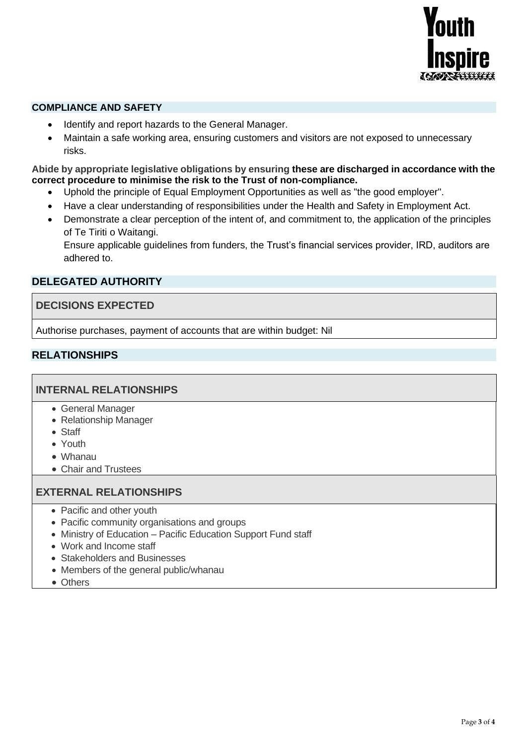

## **COMPLIANCE AND SAFETY**

- Identify and report hazards to the General Manager.
- Maintain a safe working area, ensuring customers and visitors are not exposed to unnecessary risks.

### **Abide by appropriate legislative obligations by ensuring these are discharged in accordance with the correct procedure to minimise the risk to the Trust of non-compliance.**

- Uphold the principle of Equal Employment Opportunities as well as "the good employer".
- Have a clear understanding of responsibilities under the Health and Safety in Employment Act.
- Demonstrate a clear perception of the intent of, and commitment to, the application of the principles of Te Tiriti o Waitangi.

Ensure applicable guidelines from funders, the Trust's financial services provider, IRD, auditors are adhered to.

# **DELEGATED AUTHORITY**

## **DECISIONS EXPECTED**

Authorise purchases, payment of accounts that are within budget: Nil

# **RELATIONSHIPS**

# **INTERNAL RELATIONSHIPS**

- General Manager
- Relationship Manager
- Staff
- Youth
- Whanau
- Chair and Trustees

## **EXTERNAL RELATIONSHIPS**

- Pacific and other youth
- Pacific community organisations and groups
- Ministry of Education Pacific Education Support Fund staff
- Work and Income staff
- Stakeholders and Businesses
- Members of the general public/whanau
- Others